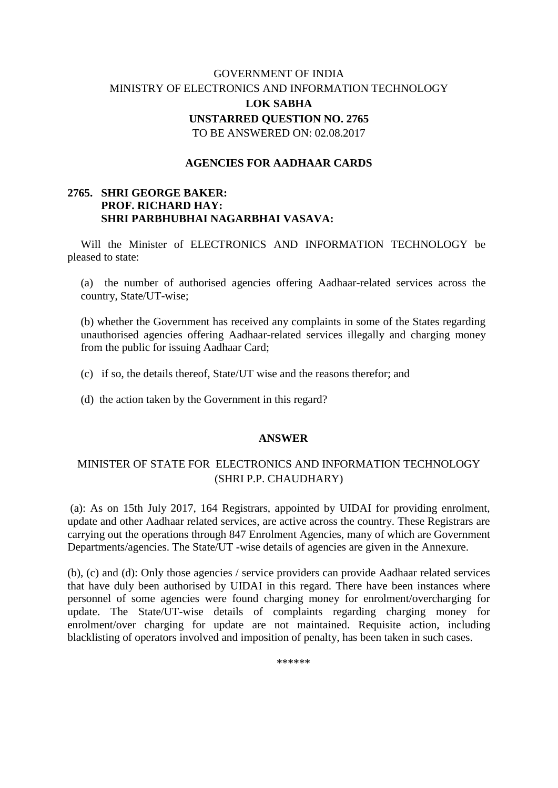# GOVERNMENT OF INDIA MINISTRY OF ELECTRONICS AND INFORMATION TECHNOLOGY **LOK SABHA UNSTARRED QUESTION NO. 2765** TO BE ANSWERED ON: 02.08.2017

#### **AGENCIES FOR AADHAAR CARDS**

### **2765. SHRI GEORGE BAKER: PROF. RICHARD HAY: SHRI PARBHUBHAI NAGARBHAI VASAVA:**

Will the Minister of ELECTRONICS AND INFORMATION TECHNOLOGY be pleased to state:

(a) the number of authorised agencies offering Aadhaar-related services across the country, State/UT-wise;

(b) whether the Government has received any complaints in some of the States regarding unauthorised agencies offering Aadhaar-related services illegally and charging money from the public for issuing Aadhaar Card;

(c) if so, the details thereof, State/UT wise and the reasons therefor; and

(d) the action taken by the Government in this regard?

#### **ANSWER**

## MINISTER OF STATE FOR ELECTRONICS AND INFORMATION TECHNOLOGY (SHRI P.P. CHAUDHARY)

(a): As on 15th July 2017, 164 Registrars, appointed by UIDAI for providing enrolment, update and other Aadhaar related services, are active across the country. These Registrars are carrying out the operations through 847 Enrolment Agencies, many of which are Government Departments/agencies. The State/UT -wise details of agencies are given in the Annexure.

(b), (c) and (d): Only those agencies / service providers can provide Aadhaar related services that have duly been authorised by UIDAI in this regard. There have been instances where personnel of some agencies were found charging money for enrolment/overcharging for update. The State/UT-wise details of complaints regarding charging money for enrolment/over charging for update are not maintained. Requisite action, including blacklisting of operators involved and imposition of penalty, has been taken in such cases.

\*\*\*\*\*\*